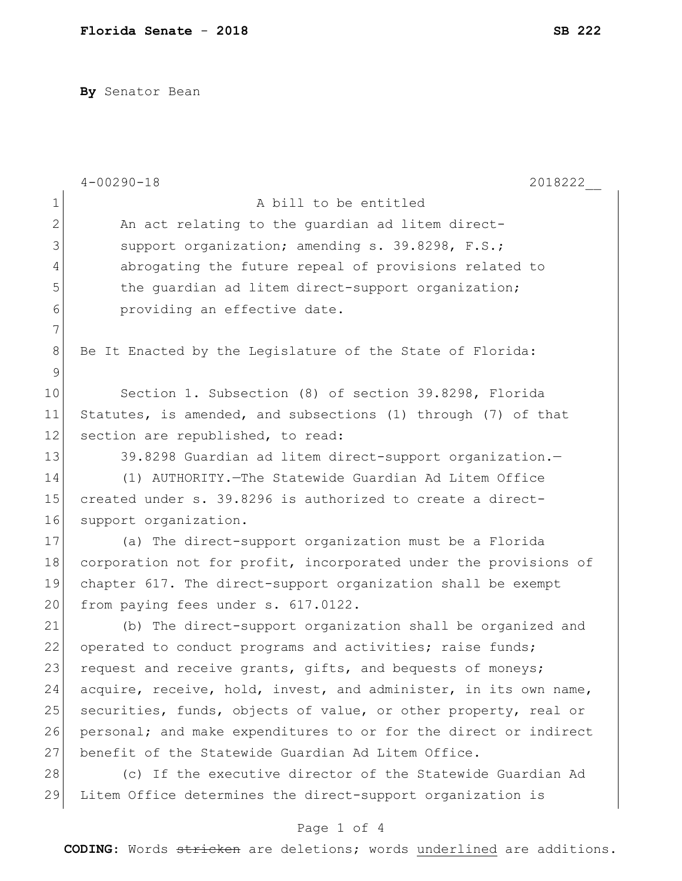**By** Senator Bean

|              | $4 - 00290 - 18$<br>2018222                                      |
|--------------|------------------------------------------------------------------|
| $\mathbf 1$  | A bill to be entitled                                            |
| $\mathbf{2}$ | An act relating to the quardian ad litem direct-                 |
| 3            | support organization; amending s. 39.8298, F.S.;                 |
| 4            | abrogating the future repeal of provisions related to            |
| 5            | the quardian ad litem direct-support organization;               |
| 6            | providing an effective date.                                     |
| 7            |                                                                  |
| $\,8\,$      | Be It Enacted by the Legislature of the State of Florida:        |
| 9            |                                                                  |
| 10           | Section 1. Subsection (8) of section 39.8298, Florida            |
| 11           | Statutes, is amended, and subsections (1) through (7) of that    |
| 12           | section are republished, to read:                                |
| 13           | 39.8298 Guardian ad litem direct-support organization.-          |
| 14           | (1) AUTHORITY. The Statewide Guardian Ad Litem Office            |
| 15           | created under s. 39.8296 is authorized to create a direct-       |
| 16           | support organization.                                            |
| 17           | (a) The direct-support organization must be a Florida            |
| 18           | corporation not for profit, incorporated under the provisions of |
| 19           | chapter 617. The direct-support organization shall be exempt     |
| 20           | from paying fees under s. 617.0122.                              |
| 21           | (b) The direct-support organization shall be organized and       |
| 22           | operated to conduct programs and activities; raise funds;        |
| 23           | request and receive grants, gifts, and bequests of moneys;       |
| 24           | acquire, receive, hold, invest, and administer, in its own name, |
| 25           | securities, funds, objects of value, or other property, real or  |
| 26           | personal; and make expenditures to or for the direct or indirect |
| 27           | benefit of the Statewide Guardian Ad Litem Office.               |
| 28           | (c) If the executive director of the Statewide Guardian Ad       |
| 29           | Litem Office determines the direct-support organization is       |
|              | Page 1 of 4                                                      |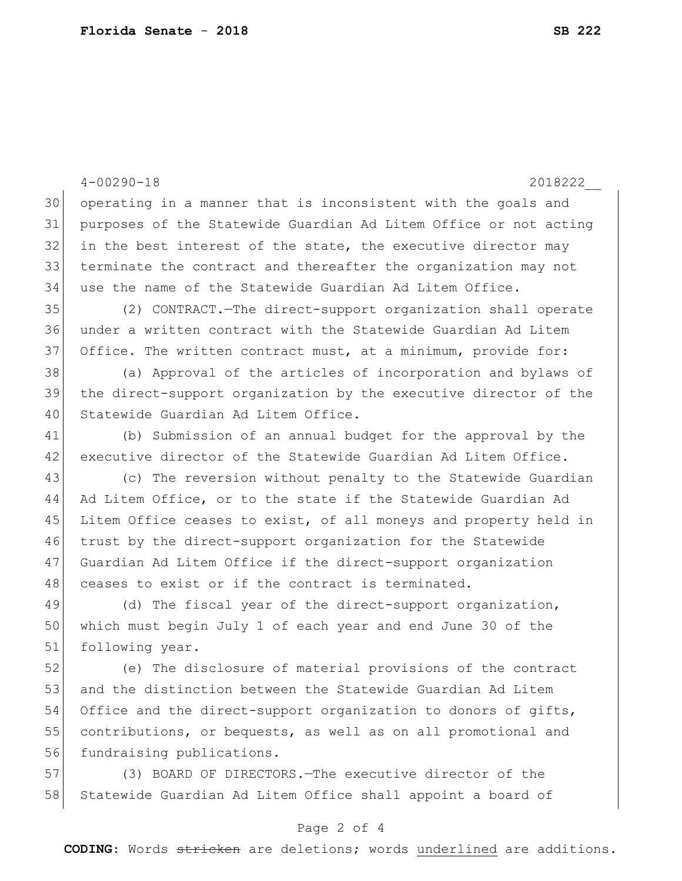4-00290-18 2018222\_\_ 30 operating in a manner that is inconsistent with the goals and 31 purposes of the Statewide Guardian Ad Litem Office or not acting  $32$  in the best interest of the state, the executive director may 33| terminate the contract and thereafter the organization may not 34 use the name of the Statewide Guardian Ad Litem Office. 35 (2) CONTRACT.—The direct-support organization shall operate 36 under a written contract with the Statewide Guardian Ad Litem 37 Office. The written contract must, at a minimum, provide for: 38 (a) Approval of the articles of incorporation and bylaws of 39 the direct-support organization by the executive director of the 40 Statewide Guardian Ad Litem Office. 41 (b) Submission of an annual budget for the approval by the 42 executive director of the Statewide Guardian Ad Litem Office. 43 (c) The reversion without penalty to the Statewide Guardian 44 Ad Litem Office, or to the state if the Statewide Guardian Ad 45 Litem Office ceases to exist, of all moneys and property held in 46 trust by the direct-support organization for the Statewide 47 Guardian Ad Litem Office if the direct-support organization 48 ceases to exist or if the contract is terminated. 49 (d) The fiscal year of the direct-support organization, 50 which must begin July 1 of each year and end June 30 of the 51 following year. 52 (e) The disclosure of material provisions of the contract 53 and the distinction between the Statewide Guardian Ad Litem 54 Office and the direct-support organization to donors of gifts, 55 contributions, or bequests, as well as on all promotional and 56 fundraising publications. 57 (3) BOARD OF DIRECTORS.—The executive director of the 58 Statewide Guardian Ad Litem Office shall appoint a board of

## Page 2 of 4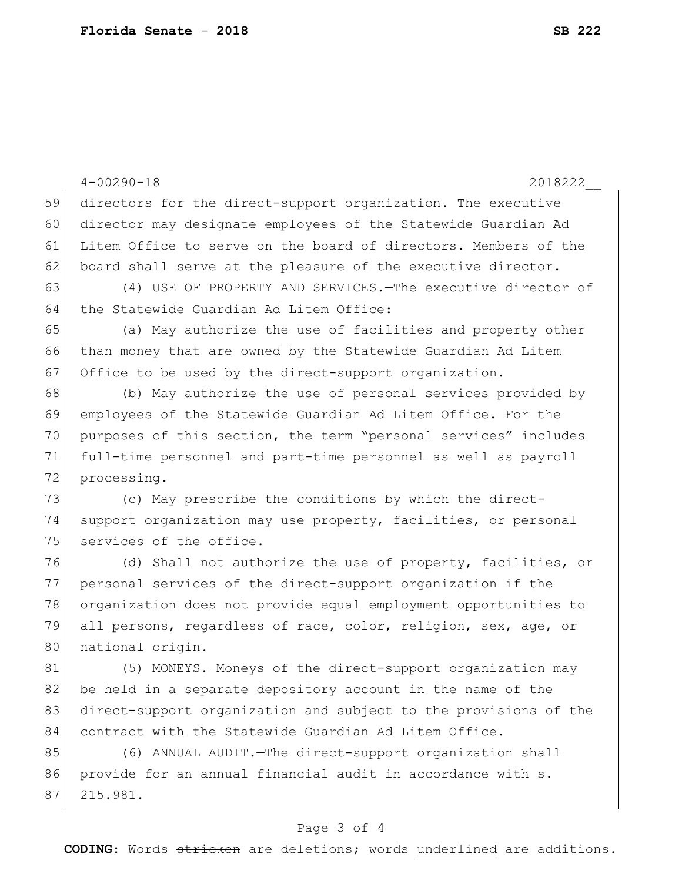|    | $4 - 00290 - 18$<br>2018222                                      |
|----|------------------------------------------------------------------|
| 59 | directors for the direct-support organization. The executive     |
| 60 | director may designate employees of the Statewide Guardian Ad    |
| 61 | Litem Office to serve on the board of directors. Members of the  |
| 62 | board shall serve at the pleasure of the executive director.     |
| 63 | (4) USE OF PROPERTY AND SERVICES. - The executive director of    |
| 64 | the Statewide Guardian Ad Litem Office:                          |
| 65 | (a) May authorize the use of facilities and property other       |
| 66 | than money that are owned by the Statewide Guardian Ad Litem     |
| 67 | Office to be used by the direct-support organization.            |
| 68 | (b) May authorize the use of personal services provided by       |
| 69 | employees of the Statewide Guardian Ad Litem Office. For the     |
| 70 | purposes of this section, the term "personal services" includes  |
| 71 | full-time personnel and part-time personnel as well as payroll   |
| 72 | processing.                                                      |
| 73 | (c) May prescribe the conditions by which the direct-            |
| 74 | support organization may use property, facilities, or personal   |
| 75 | services of the office.                                          |
| 76 | (d) Shall not authorize the use of property, facilities, or      |
| 77 | personal services of the direct-support organization if the      |
| 78 | organization does not provide equal employment opportunities to  |
| 79 | all persons, regardless of race, color, religion, sex, age, or   |
| 80 | national origin.                                                 |
| 81 | (5) MONEYS.-Moneys of the direct-support organization may        |
| 82 | be held in a separate depository account in the name of the      |
| 83 | direct-support organization and subject to the provisions of the |
| 84 | contract with the Statewide Guardian Ad Litem Office.            |
| 85 | (6) ANNUAL AUDIT. - The direct-support organization shall        |
| 86 | provide for an annual financial audit in accordance with s.      |
| 87 | 215.981.                                                         |

## Page 3 of 4